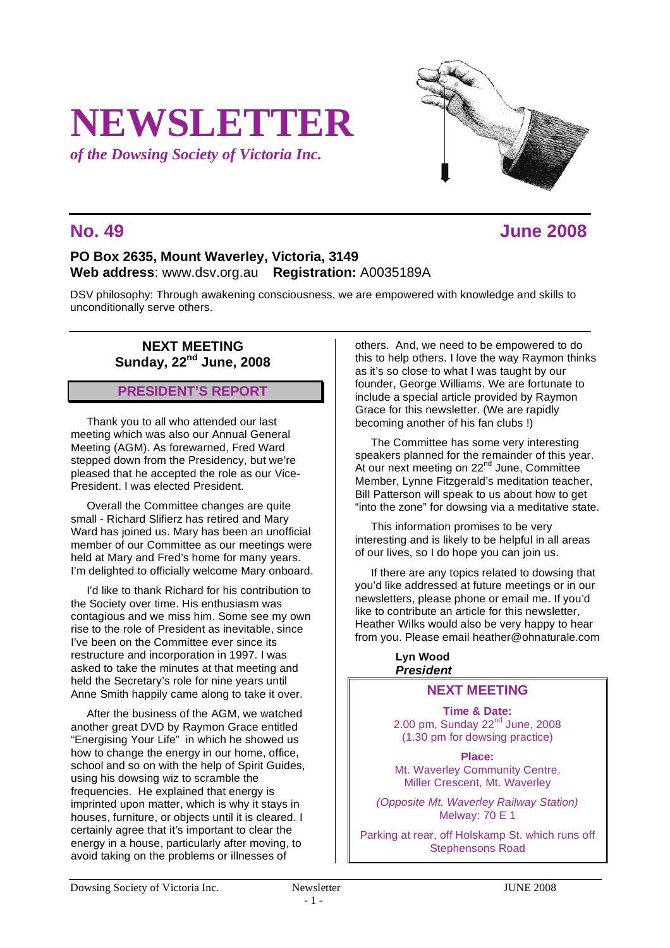# **NEWSLETTER**

*of the Dowsing Society of Victoria Inc.*

# **No. 49 June 2008**

# **PO Box 2635, Mount Waverley, Victoria, 3149 Web address**: www.dsv.org.au **Registration:** A0035189A

DSV philosophy: Through awakening consciousness, we are empowered with knowledge and skills to unconditionally serve others.

# **NEXT MEETING Sunday, 22nd June, 2008**

# **PRESIDENT'S REPORT**

Thank you to all who attended our last meeting which was also our Annual General Meeting (AGM). As forewarned, Fred Ward stepped down from the Presidency, but we're pleased that he accepted the role as our Vice-President. I was elected President.

Overall the Committee changes are quite small - Richard Slifierz has retired and Mary Ward has joined us. Mary has been an unofficial member of our Committee as our meetings were held at Mary and Fred's home for many years. I'm delighted to officially welcome Mary onboard.

I'd like to thank Richard for his contribution to the Society over time. His enthusiasm was contagious and we miss him. Some see my own rise to the role of President as inevitable, since I've been on the Committee ever since its restructure and incorporation in 1997. I was asked to take the minutes at that meeting and held the Secretary's role for nine years until Anne Smith happily came along to take it over.

After the business of the AGM, we watched another great DVD by Raymon Grace entitled "Energising Your Life" in which he showed us how to change the energy in our home, office, school and so on with the help of Spirit Guides, using his dowsing wiz to scramble the frequencies. He explained that energy is imprinted upon matter, which is why it stays in houses, furniture, or objects until it is cleared. I certainly agree that it's important to clear the energy in a house, particularly after moving, to avoid taking on the problems or illnesses of

others. And, we need to be empowered to do this to help others. I love the way Raymon thinks as it's so close to what I was taught by our founder, George Williams. We are fortunate to include a special article provided by Raymon Grace for this newsletter. (We are rapidly becoming another of his fan clubs !)

The Committee has some very interesting speakers planned for the remainder of this year. At our next meeting on  $22<sup>nd</sup>$  June, Committee Member, Lynne Fitzgerald's meditation teacher, Bill Patterson will speak to us about how to get "into the zone" for dowsing via a meditative state.

This information promises to be very interesting and is likely to be helpful in all areas of our lives, so I do hope you can join us.

If there are any topics related to dowsing that you'd like addressed at future meetings or in our newsletters, please phone or email me. If you'd like to contribute an article for this newsletter, Heather Wilks would also be very happy to hear from you. Please email heather@ohnaturale.com

> **Lyn Wood** *President*

# **NEXT MEETING**

**Time & Date:** 2.00 pm, Sunday  $22<sup>nd</sup>$  June, 2008 (1.30 pm for dowsing practice)

**Place:** Mt. Waverley Community Centre, Miller Crescent, Mt. Waverley

*(Opposite Mt. Waverley Railway Station)* Melway: 70 E 1

Parking at rear, off Holskamp St. which runs off Stephensons Road

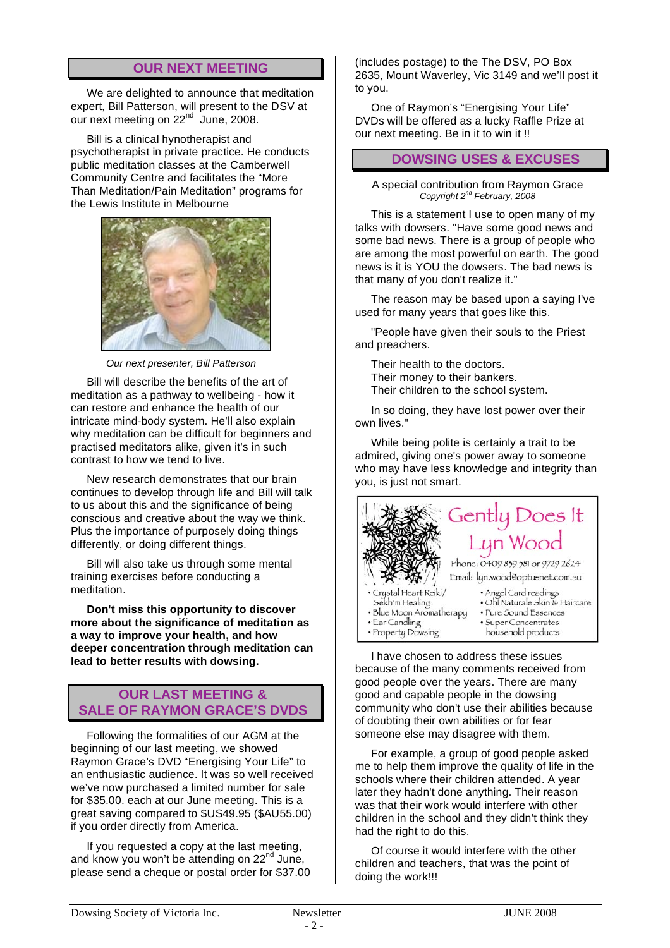# **OUR NEXT MEETING**

We are delighted to announce that meditation expert, Bill Patterson, will present to the DSV at our next meeting on 22<sup>nd</sup> June, 2008.

Bill is a clinical hynotherapist and psychotherapist in private practice. He conducts public meditation classes at the Camberwell Community Centre and facilitates the "More Than Meditation/Pain Meditation" programs for the Lewis Institute in Melbourne



 *Our next presenter, Bill Patterson*

Bill will describe the benefits of the art of meditation as a pathway to wellbeing - how it can restore and enhance the health of our intricate mind-body system. He'll also explain why meditation can be difficult for beginners and practised meditators alike, given it's in such contrast to how we tend to live.

New research demonstrates that our brain continues to develop through life and Bill will talk to us about this and the significance of being conscious and creative about the way we think. Plus the importance of purposely doing things differently, or doing different things.

Bill will also take us through some mental training exercises before conducting a meditation.

**Don't miss this opportunity to discover more about the significance of meditation as a way to improve your health, and how deeper concentration through meditation can lead to better results with dowsing.**

### **OUR LAST MEETING & SALE OF RAYMON GRACE'S DVDS**

Following the formalities of our AGM at the beginning of our last meeting, we showed Raymon Grace's DVD "Energising Your Life" to an enthusiastic audience. It was so well received we've now purchased a limited number for sale for \$35.00. each at our June meeting. This is a great saving compared to \$US49.95 (\$AU55.00) if you order directly from America.

If you requested a copy at the last meeting, and know you won't be attending on 22<sup>nd</sup> June. please send a cheque or postal order for \$37.00 (includes postage) to the The DSV, PO Box 2635, Mount Waverley, Vic 3149 and we'll post it to you.

One of Raymon's "Energising Your Life" DVDs will be offered as a lucky Raffle Prize at our next meeting. Be in it to win it !!

#### **DOWSING USES & EXCUSES**

A special contribution from Raymon Grace *Copyright 2nd February, 2008*

This is a statement I use to open many of my talks with dowsers. ''Have some good news and some bad news. There is a group of people who are among the most powerful on earth. The good news is it is YOU the dowsers. The bad news is that many of you don't realize it.''

The reason may be based upon a saying I've used for many years that goes like this.

"People have given their souls to the Priest and preachers.

Their health to the doctors. Their money to their bankers. Their children to the school system.

In so doing, they have lost power over their own lives."

While being polite is certainly a trait to be admired, giving one's power away to someone who may have less knowledge and integrity than you, is just not smart.



I have chosen to address these issues because of the many comments received from good people over the years. There are many good and capable people in the dowsing community who don't use their abilities because of doubting their own abilities or for fear someone else may disagree with them.

For example, a group of good people asked me to help them improve the quality of life in the schools where their children attended. A year later they hadn't done anything. Their reason was that their work would interfere with other children in the school and they didn't think they had the right to do this.

Of course it would interfere with the other children and teachers, that was the point of doing the work!!!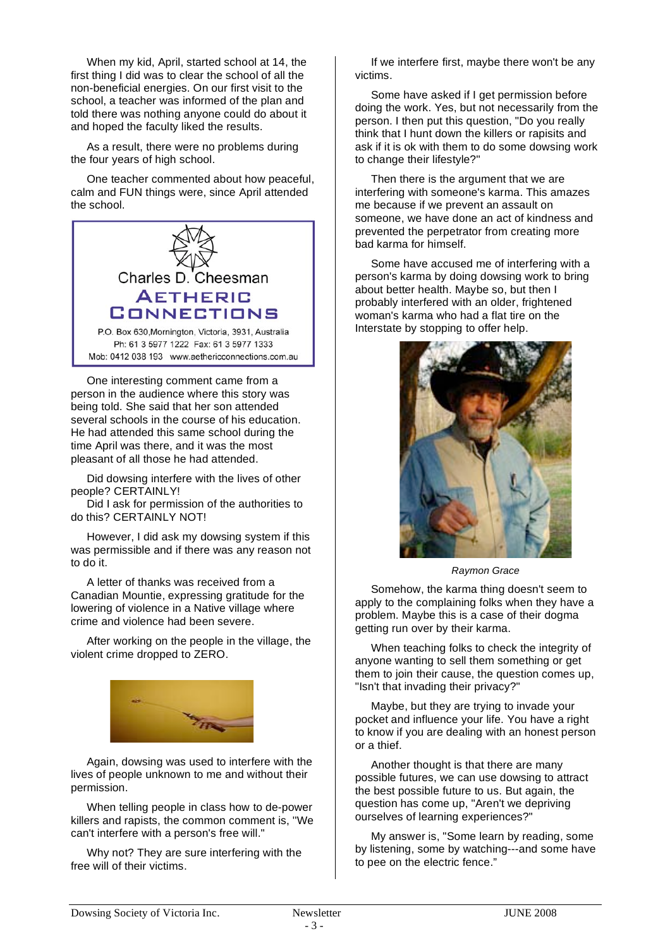When my kid, April, started school at 14, the first thing I did was to clear the school of all the non-beneficial energies. On our first visit to the school, a teacher was informed of the plan and told there was nothing anyone could do about it and hoped the faculty liked the results.

As a result, there were no problems during the four years of high school.

One teacher commented about how peaceful, calm and FUN things were, since April attended the school.



One interesting comment came from a person in the audience where this story was being told. She said that her son attended several schools in the course of his education. He had attended this same school during the time April was there, and it was the most pleasant of all those he had attended.

Did dowsing interfere with the lives of other people? CERTAINLY!

Did I ask for permission of the authorities to do this? CERTAINLY NOT!

However, I did ask my dowsing system if this was permissible and if there was any reason not to do it.

A letter of thanks was received from a Canadian Mountie, expressing gratitude for the lowering of violence in a Native village where crime and violence had been severe.

After working on the people in the village, the violent crime dropped to ZERO.



Again, dowsing was used to interfere with the lives of people unknown to me and without their permission.

When telling people in class how to de-power killers and rapists, the common comment is, ''We can't interfere with a person's free will."

Why not? They are sure interfering with the free will of their victims.

If we interfere first, maybe there won't be any victims.

Some have asked if I get permission before doing the work. Yes, but not necessarily from the person. I then put this question, "Do you really think that I hunt down the killers or rapisits and ask if it is ok with them to do some dowsing work to change their lifestyle?''

Then there is the argument that we are interfering with someone's karma. This amazes me because if we prevent an assault on someone, we have done an act of kindness and prevented the perpetrator from creating more bad karma for himself.

Some have accused me of interfering with a person's karma by doing dowsing work to bring about better health. Maybe so, but then I probably interfered with an older, frightened woman's karma who had a flat tire on the Interstate by stopping to offer help.



*Raymon Grace*

Somehow, the karma thing doesn't seem to apply to the complaining folks when they have a problem. Maybe this is a case of their dogma getting run over by their karma.

When teaching folks to check the integrity of anyone wanting to sell them something or get them to join their cause, the question comes up. "Isn't that invading their privacy?"

Maybe, but they are trying to invade your pocket and influence your life. You have a right to know if you are dealing with an honest person or a thief.

Another thought is that there are many possible futures, we can use dowsing to attract the best possible future to us. But again, the question has come up, "Aren't we depriving ourselves of learning experiences?"

My answer is, "Some learn by reading, some by listening, some by watching---and some have to pee on the electric fence."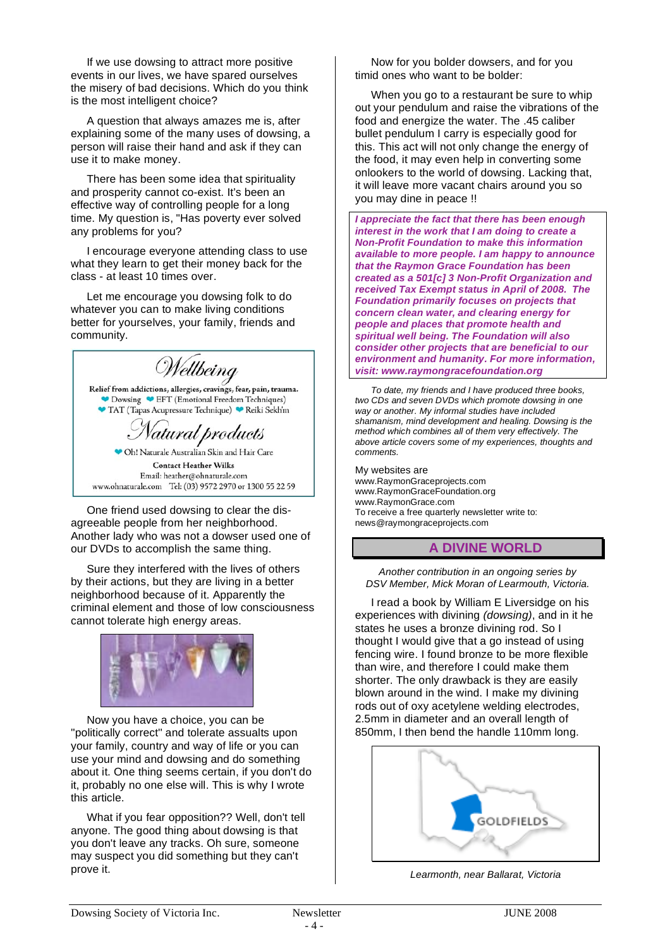If we use dowsing to attract more positive events in our lives, we have spared ourselves the misery of bad decisions. Which do you think is the most intelligent choice?

A question that always amazes me is, after explaining some of the many uses of dowsing, a person will raise their hand and ask if they can use it to make money.

There has been some idea that spirituality and prosperity cannot co-exist. It's been an effective way of controlling people for a long time. My question is, "Has poverty ever solved any problems for you?

I encourage everyone attending class to use what they learn to get their money back for the class - at least 10 times over.

Let me encourage you dowsing folk to do whatever you can to make living conditions better for yourselves, your family, friends and community.

Wellbeing Relief from addictions, allergies, cravings, fear, pain, trauma. Dowsing CET (Emotional Freedom Techniques) TAT (Tapas Acupressure Technique) Reiki Sekh'm 'atural products

● Oh! Naturale Australian Skin and Hair Care **Contact Heather Wilks** Email: heather@ohnaturale.com www.ohnaturale.com Tel: (03) 9572 2970 or 1300 55 22 59

One friend used dowsing to clear the disagreeable people from her neighborhood. Another lady who was not a dowser used one of our DVDs to accomplish the same thing.

Sure they interfered with the lives of others by their actions, but they are living in a better neighborhood because of it. Apparently the criminal element and those of low consciousness cannot tolerate high energy areas.



Now you have a choice, you can be ''politically correct'' and tolerate assualts upon your family, country and way of life or you can use your mind and dowsing and do something about it. One thing seems certain, if you don't do it, probably no one else will. This is why I wrote this article.

What if you fear opposition?? Well, don't tell anyone. The good thing about dowsing is that you don't leave any tracks. Oh sure, someone may suspect you did something but they can't prove it.

Now for you bolder dowsers, and for you timid ones who want to be bolder:

When you go to a restaurant be sure to whip out your pendulum and raise the vibrations of the food and energize the water. The .45 caliber bullet pendulum I carry is especially good for this. This act will not only change the energy of the food, it may even help in converting some onlookers to the world of dowsing. Lacking that, it will leave more vacant chairs around you so you may dine in peace !!

*I appreciate the fact that there has been enough interest in the work that I am doing to create a Non-Profit Foundation to make this information available to more people. I am happy to announce that the Raymon Grace Foundation has been created as a 501[c] 3 Non-Profit Organization and received Tax Exempt status in April of 2008. The Foundation primarily focuses on projects that concern clean water, and clearing energy for people and places that promote health and spiritual well being. The Foundation will also consider other projects that are beneficial to our environment and humanity. For more information, visit: www.raymongracefoundation.org*

*To date, my friends and I have produced three books, two CDs and seven DVDs which promote dowsing in one way or another. My informal studies have included shamanism, mind development and healing. Dowsing is the method which combines all of them very effectively. The above article covers some of my experiences, thoughts and comments.*

My websites are www.RaymonGraceprojects.com www.RaymonGraceFoundation.org www.RaymonGrace.com To receive a free quarterly newsletter write to: news@raymongraceprojects.com

#### **A DIVINE WORLD**

*Another contribution in an ongoing series by DSV Member, Mick Moran of Learmouth, Victoria.*

I read a book by William E Liversidge on his experiences with divining *(dowsing)*, and in it he states he uses a bronze divining rod. So I thought I would give that a go instead of using fencing wire. I found bronze to be more flexible than wire, and therefore I could make them shorter. The only drawback is they are easily blown around in the wind. I make my divining rods out of oxy acetylene welding electrodes, 2.5mm in diameter and an overall length of 850mm, I then bend the handle 110mm long.



*Learmonth, near Ballarat, Victoria*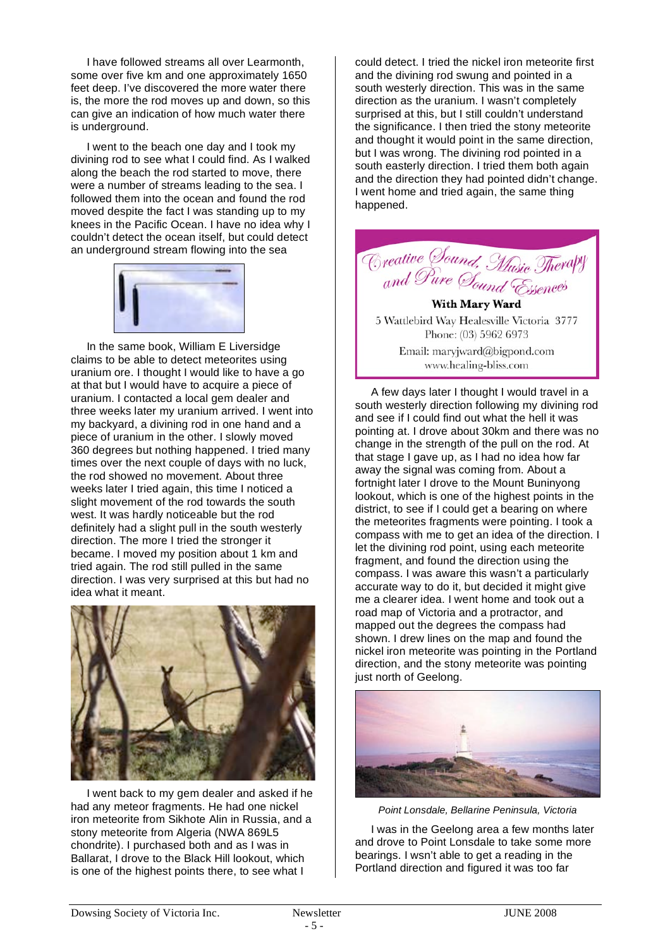I have followed streams all over Learmonth, some over five km and one approximately 1650 feet deep. I've discovered the more water there is, the more the rod moves up and down, so this can give an indication of how much water there is underground.

I went to the beach one day and I took my divining rod to see what I could find. As I walked along the beach the rod started to move, there were a number of streams leading to the sea. I followed them into the ocean and found the rod moved despite the fact I was standing up to my knees in the Pacific Ocean. I have no idea why I couldn't detect the ocean itself, but could detect an underground stream flowing into the sea



In the same book, William E Liversidge claims to be able to detect meteorites using uranium ore. I thought I would like to have a go at that but I would have to acquire a piece of uranium. I contacted a local gem dealer and three weeks later my uranium arrived. I went into my backyard, a divining rod in one hand and a piece of uranium in the other. I slowly moved 360 degrees but nothing happened. I tried many times over the next couple of days with no luck, the rod showed no movement. About three weeks later I tried again, this time I noticed a slight movement of the rod towards the south west. It was hardly noticeable but the rod definitely had a slight pull in the south westerly direction. The more I tried the stronger it became. I moved my position about 1 km and tried again. The rod still pulled in the same direction. I was very surprised at this but had no idea what it meant.



I went back to my gem dealer and asked if he had any meteor fragments. He had one nickel iron meteorite from Sikhote Alin in Russia, and a stony meteorite from Algeria (NWA 869L5 chondrite). I purchased both and as I was in Ballarat, I drove to the Black Hill lookout, which is one of the highest points there, to see what I

could detect. I tried the nickel iron meteorite first and the divining rod swung and pointed in a south westerly direction. This was in the same direction as the uranium. I wasn't completely surprised at this, but I still couldn't understand the significance. I then tried the stony meteorite and thought it would point in the same direction, but I was wrong. The divining rod pointed in a south easterly direction. I tried them both again and the direction they had pointed didn't change. I went home and tried again, the same thing happened.



**With Mary Ward** 5 Wattlebird Way Healesville Victoria 3777 Phone: (03) 5962 6973 Email: maryjward@bigpond.com www.healing-bliss.com

A few days later I thought I would travel in a south westerly direction following my divining rod and see if I could find out what the hell it was pointing at. I drove about 30km and there was no change in the strength of the pull on the rod. At that stage I gave up, as I had no idea how far away the signal was coming from. About a fortnight later I drove to the Mount Buninyong lookout, which is one of the highest points in the district, to see if I could get a bearing on where the meteorites fragments were pointing. I took a compass with me to get an idea of the direction. I let the divining rod point, using each meteorite fragment, and found the direction using the compass. I was aware this wasn't a particularly accurate way to do it, but decided it might give me a clearer idea. I went home and took out a road map of Victoria and a protractor, and mapped out the degrees the compass had shown. I drew lines on the map and found the nickel iron meteorite was pointing in the Portland direction, and the stony meteorite was pointing just north of Geelong.



*Point Lonsdale, Bellarine Peninsula, Victoria*

I was in the Geelong area a few months later and drove to Point Lonsdale to take some more bearings. I wsn't able to get a reading in the Portland direction and figured it was too far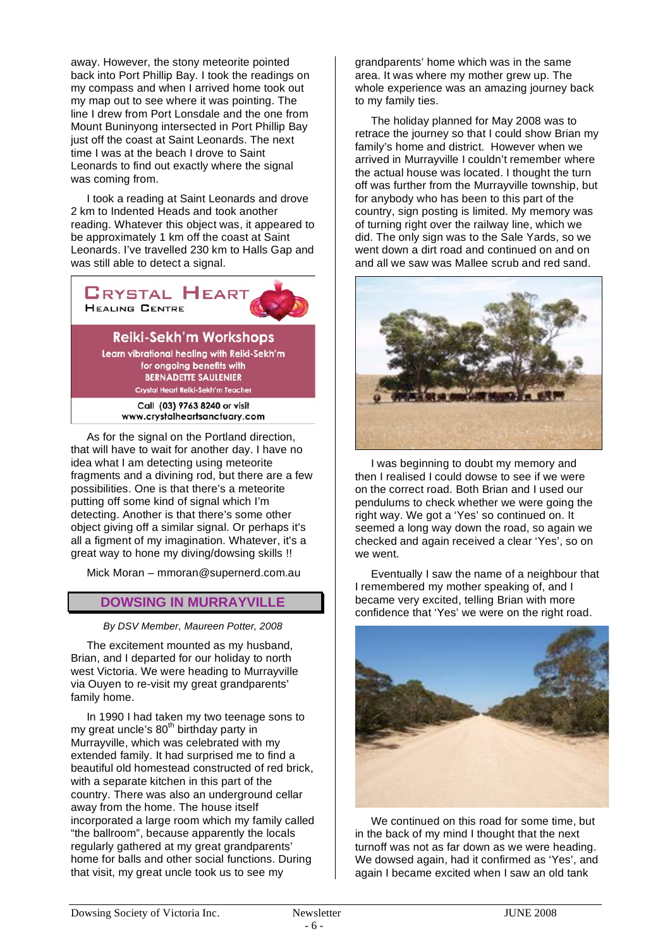away. However, the stony meteorite pointed back into Port Phillip Bay. I took the readings on my compass and when I arrived home took out my map out to see where it was pointing. The line I drew from Port Lonsdale and the one from Mount Buninyong intersected in Port Phillip Bay just off the coast at Saint Leonards. The next time I was at the beach I drove to Saint Leonards to find out exactly where the signal was coming from.

I took a reading at Saint Leonards and drove 2 km to Indented Heads and took another reading. Whatever this object was, it appeared to be approximately 1 km off the coast at Saint Leonards. I've travelled 230 km to Halls Gap and was still able to detect a signal.



**Reiki-Sekh'm Workshops** 

Learn vibrational healing with Reiki-Sekh'm for ongoing benefits with **BERNADETTE SAULENIER** Crystal Heart Reiki-Sekh'm Teacher

> Call (03) 9763 8240 or visit www.crystalheartsanctuary.com

As for the signal on the Portland direction, that will have to wait for another day. I have no idea what I am detecting using meteorite fragments and a divining rod, but there are a few possibilities. One is that there's a meteorite putting off some kind of signal which I'm detecting. Another is that there's some other object giving off a similar signal. Or perhaps it's all a figment of my imagination. Whatever, it's a great way to hone my diving/dowsing skills !!

Mick Moran – mmoran@supernerd.com.au

# **DOWSING IN MURRAYVILLE**

*By DSV Member, Maureen Potter, 2008* 

The excitement mounted as my husband, Brian, and I departed for our holiday to north west Victoria. We were heading to Murrayville via Ouyen to re-visit my great grandparents' family home.

In 1990 I had taken my two teenage sons to my great uncle's 80<sup>th</sup> birthday party in Murrayville, which was celebrated with my extended family. It had surprised me to find a beautiful old homestead constructed of red brick, with a separate kitchen in this part of the country. There was also an underground cellar away from the home. The house itself incorporated a large room which my family called "the ballroom", because apparently the locals regularly gathered at my great grandparents' home for balls and other social functions. During that visit, my great uncle took us to see my

grandparents' home which was in the same area. It was where my mother grew up. The whole experience was an amazing journey back to my family ties.

The holiday planned for May 2008 was to retrace the journey so that I could show Brian my family's home and district. However when we arrived in Murrayville I couldn't remember where the actual house was located. I thought the turn off was further from the Murrayville township, but for anybody who has been to this part of the country, sign posting is limited. My memory was of turning right over the railway line, which we did. The only sign was to the Sale Yards, so we went down a dirt road and continued on and on and all we saw was Mallee scrub and red sand.



I was beginning to doubt my memory and then I realised I could dowse to see if we were on the correct road. Both Brian and I used our pendulums to check whether we were going the right way. We got a 'Yes' so continued on. It seemed a long way down the road, so again we checked and again received a clear 'Yes', so on we went.

Eventually I saw the name of a neighbour that I remembered my mother speaking of, and I became very excited, telling Brian with more confidence that 'Yes' we were on the right road.



We continued on this road for some time, but in the back of my mind I thought that the next turnoff was not as far down as we were heading. We dowsed again, had it confirmed as 'Yes', and again I became excited when I saw an old tank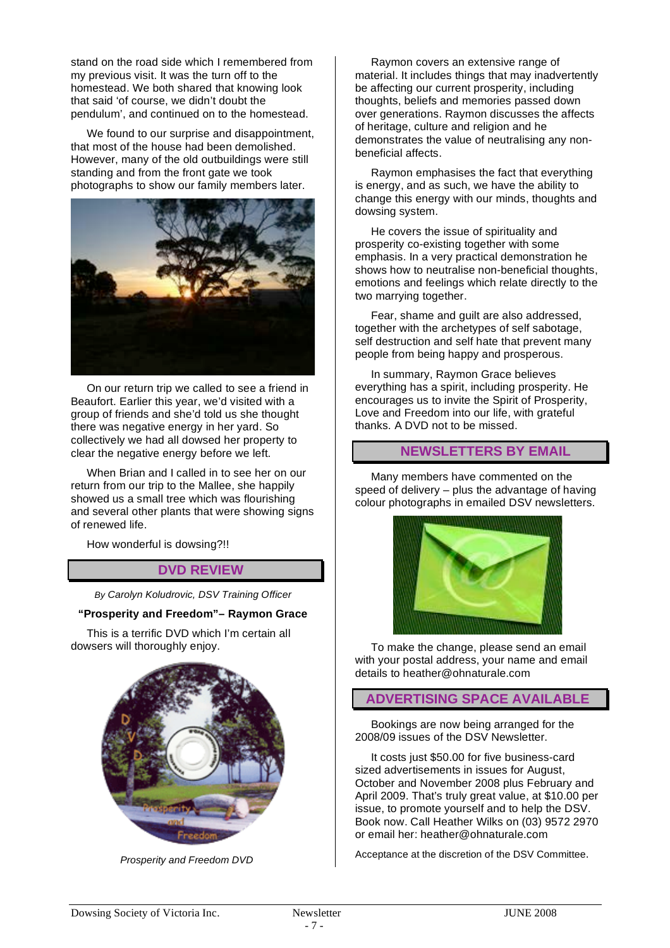stand on the road side which I remembered from my previous visit. It was the turn off to the homestead. We both shared that knowing look that said 'of course, we didn't doubt the pendulum', and continued on to the homestead.

We found to our surprise and disappointment, that most of the house had been demolished. However, many of the old outbuildings were still standing and from the front gate we took photographs to show our family members later.



On our return trip we called to see a friend in Beaufort. Earlier this year, we'd visited with a group of friends and she'd told us she thought there was negative energy in her yard. So collectively we had all dowsed her property to clear the negative energy before we left.

When Brian and I called in to see her on our return from our trip to the Mallee, she happily showed us a small tree which was flourishing and several other plants that were showing signs of renewed life.

How wonderful is dowsing?!!

# **DVD REVIEW**

*By Carolyn Koludrovic, DSV Training Officer*

#### **"Prosperity and Freedom"– Raymon Grace**

This is a terrific DVD which I'm certain all dowsers will thoroughly enjoy.



 *Prosperity and Freedom DVD*

Raymon covers an extensive range of material. It includes things that may inadvertently be affecting our current prosperity, including thoughts, beliefs and memories passed down over generations. Raymon discusses the affects of heritage, culture and religion and he demonstrates the value of neutralising any nonbeneficial affects.

Raymon emphasises the fact that everything is energy, and as such, we have the ability to change this energy with our minds, thoughts and dowsing system.

He covers the issue of spirituality and prosperity co-existing together with some emphasis. In a very practical demonstration he shows how to neutralise non-beneficial thoughts, emotions and feelings which relate directly to the two marrying together.

Fear, shame and guilt are also addressed, together with the archetypes of self sabotage, self destruction and self hate that prevent many people from being happy and prosperous.

In summary, Raymon Grace believes everything has a spirit, including prosperity. He encourages us to invite the Spirit of Prosperity, Love and Freedom into our life, with grateful thanks. A DVD not to be missed.

# **NEWSLETTERS BY EMAIL**

Many members have commented on the speed of delivery – plus the advantage of having colour photographs in emailed DSV newsletters.



To make the change, please send an email with your postal address, your name and email details to heather@ohnaturale.com

#### **ADVERTISING SPACE AVAILABLE**

Bookings are now being arranged for the 2008/09 issues of the DSV Newsletter.

It costs just \$50.00 for five business-card sized advertisements in issues for August, October and November 2008 plus February and April 2009. That's truly great value, at \$10.00 per issue, to promote yourself and to help the DSV. Book now. Call Heather Wilks on (03) 9572 2970 or email her: heather@ohnaturale.com

Acceptance at the discretion of the DSV Committee.